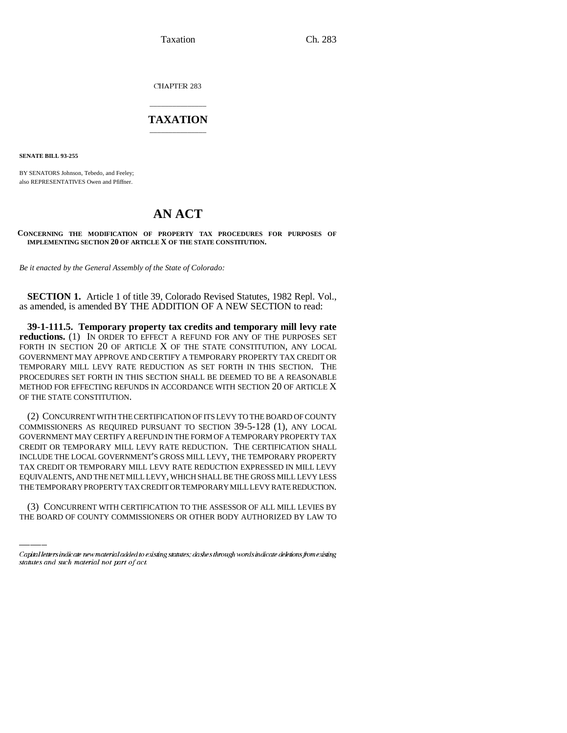Taxation Ch. 283

CHAPTER 283

## \_\_\_\_\_\_\_\_\_\_\_\_\_\_\_ **TAXATION** \_\_\_\_\_\_\_\_\_\_\_\_\_\_\_

**SENATE BILL 93-255**

BY SENATORS Johnson, Tebedo, and Feeley; also REPRESENTATIVES Owen and Pfiffner.

# **AN ACT**

**CONCERNING THE MODIFICATION OF PROPERTY TAX PROCEDURES FOR PURPOSES OF IMPLEMENTING SECTION 20 OF ARTICLE X OF THE STATE CONSTITUTION.**

*Be it enacted by the General Assembly of the State of Colorado:*

**SECTION 1.** Article 1 of title 39, Colorado Revised Statutes, 1982 Repl. Vol., as amended, is amended BY THE ADDITION OF A NEW SECTION to read:

**39-1-111.5. Temporary property tax credits and temporary mill levy rate reductions.** (1) IN ORDER TO EFFECT A REFUND FOR ANY OF THE PURPOSES SET FORTH IN SECTION 20 OF ARTICLE X OF THE STATE CONSTITUTION, ANY LOCAL GOVERNMENT MAY APPROVE AND CERTIFY A TEMPORARY PROPERTY TAX CREDIT OR TEMPORARY MILL LEVY RATE REDUCTION AS SET FORTH IN THIS SECTION. THE PROCEDURES SET FORTH IN THIS SECTION SHALL BE DEEMED TO BE A REASONABLE METHOD FOR EFFECTING REFUNDS IN ACCORDANCE WITH SECTION 20 OF ARTICLE X OF THE STATE CONSTITUTION.

EQUIVALENTS, AND THE NET MILL LEVY, WHICH SHALL BE THE GROSS MILL LEVY LESS (2) CONCURRENT WITH THE CERTIFICATION OF ITS LEVY TO THE BOARD OF COUNTY COMMISSIONERS AS REQUIRED PURSUANT TO SECTION 39-5-128 (1), ANY LOCAL GOVERNMENT MAY CERTIFY A REFUND IN THE FORM OF A TEMPORARY PROPERTY TAX CREDIT OR TEMPORARY MILL LEVY RATE REDUCTION. THE CERTIFICATION SHALL INCLUDE THE LOCAL GOVERNMENT'S GROSS MILL LEVY, THE TEMPORARY PROPERTY TAX CREDIT OR TEMPORARY MILL LEVY RATE REDUCTION EXPRESSED IN MILL LEVY THE TEMPORARY PROPERTY TAX CREDIT OR TEMPORARY MILL LEVY RATE REDUCTION.

(3) CONCURRENT WITH CERTIFICATION TO THE ASSESSOR OF ALL MILL LEVIES BY THE BOARD OF COUNTY COMMISSIONERS OR OTHER BODY AUTHORIZED BY LAW TO

Capital letters indicate new material added to existing statutes; dashes through words indicate deletions from existing statutes and such material not part of act.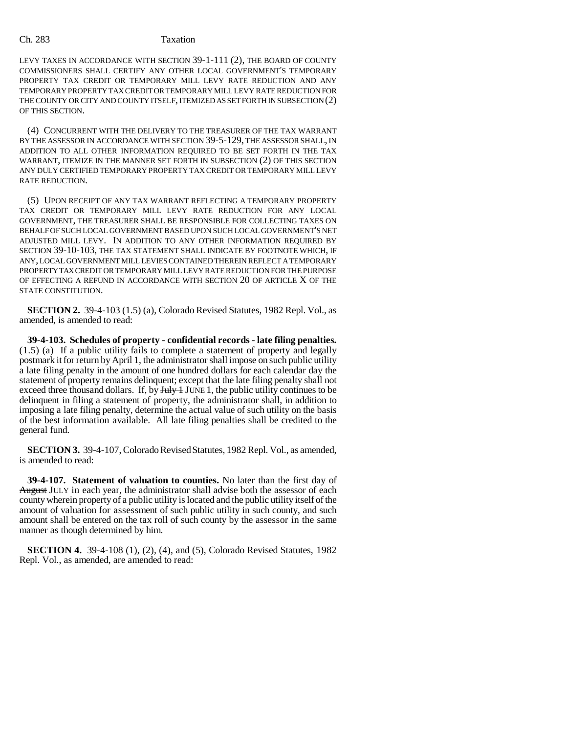### Ch. 283 Taxation

LEVY TAXES IN ACCORDANCE WITH SECTION 39-1-111 (2), THE BOARD OF COUNTY COMMISSIONERS SHALL CERTIFY ANY OTHER LOCAL GOVERNMENT'S TEMPORARY PROPERTY TAX CREDIT OR TEMPORARY MILL LEVY RATE REDUCTION AND ANY TEMPORARY PROPERTY TAX CREDIT OR TEMPORARY MILL LEVY RATE REDUCTION FOR THE COUNTY OR CITY AND COUNTY ITSELF, ITEMIZED AS SET FORTH IN SUBSECTION (2) OF THIS SECTION.

(4) CONCURRENT WITH THE DELIVERY TO THE TREASURER OF THE TAX WARRANT BY THE ASSESSOR IN ACCORDANCE WITH SECTION 39-5-129, THE ASSESSOR SHALL, IN ADDITION TO ALL OTHER INFORMATION REQUIRED TO BE SET FORTH IN THE TAX WARRANT, ITEMIZE IN THE MANNER SET FORTH IN SUBSECTION (2) OF THIS SECTION ANY DULY CERTIFIED TEMPORARY PROPERTY TAX CREDIT OR TEMPORARY MILL LEVY RATE REDUCTION.

(5) UPON RECEIPT OF ANY TAX WARRANT REFLECTING A TEMPORARY PROPERTY TAX CREDIT OR TEMPORARY MILL LEVY RATE REDUCTION FOR ANY LOCAL GOVERNMENT, THE TREASURER SHALL BE RESPONSIBLE FOR COLLECTING TAXES ON BEHALF OF SUCH LOCAL GOVERNMENT BASED UPON SUCH LOCAL GOVERNMENT'S NET ADJUSTED MILL LEVY. IN ADDITION TO ANY OTHER INFORMATION REQUIRED BY SECTION 39-10-103, THE TAX STATEMENT SHALL INDICATE BY FOOTNOTE WHICH, IF ANY, LOCAL GOVERNMENT MILL LEVIES CONTAINED THEREIN REFLECT A TEMPORARY PROPERTY TAX CREDIT OR TEMPORARY MILL LEVY RATE REDUCTION FOR THE PURPOSE OF EFFECTING A REFUND IN ACCORDANCE WITH SECTION 20 OF ARTICLE X OF THE STATE CONSTITUTION.

**SECTION 2.** 39-4-103 (1.5) (a), Colorado Revised Statutes, 1982 Repl. Vol., as amended, is amended to read:

**39-4-103. Schedules of property - confidential records - late filing penalties.** (1.5) (a) If a public utility fails to complete a statement of property and legally postmark it for return by April 1, the administrator shall impose on such public utility a late filing penalty in the amount of one hundred dollars for each calendar day the statement of property remains delinquent; except that the late filing penalty shall not exceed three thousand dollars. If, by  $\frac{1}{2}$  JUNE 1, the public utility continues to be delinquent in filing a statement of property, the administrator shall, in addition to imposing a late filing penalty, determine the actual value of such utility on the basis of the best information available. All late filing penalties shall be credited to the general fund.

**SECTION 3.** 39-4-107, Colorado Revised Statutes, 1982 Repl. Vol., as amended, is amended to read:

**39-4-107. Statement of valuation to counties.** No later than the first day of August JULY in each year, the administrator shall advise both the assessor of each county wherein property of a public utility is located and the public utility itself of the amount of valuation for assessment of such public utility in such county, and such amount shall be entered on the tax roll of such county by the assessor in the same manner as though determined by him.

**SECTION 4.** 39-4-108 (1), (2), (4), and (5), Colorado Revised Statutes, 1982 Repl. Vol., as amended, are amended to read: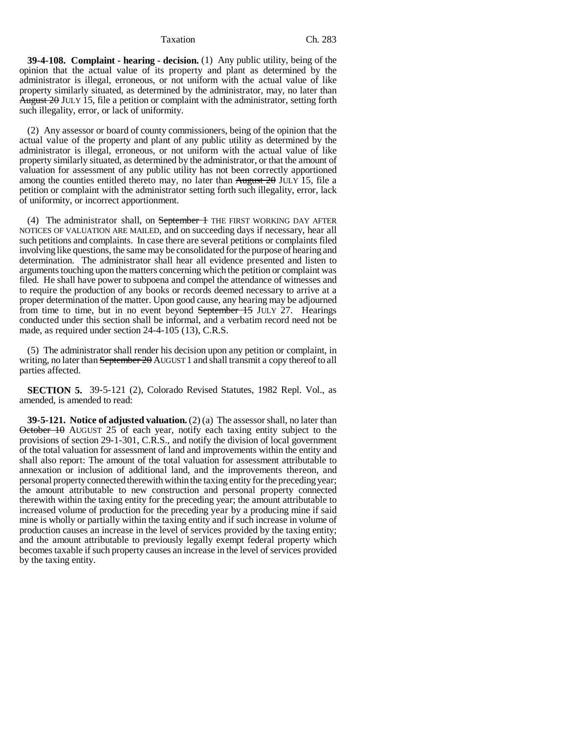#### Taxation Ch. 283

**39-4-108. Complaint - hearing - decision.** (1) Any public utility, being of the opinion that the actual value of its property and plant as determined by the administrator is illegal, erroneous, or not uniform with the actual value of like property similarly situated, as determined by the administrator, may, no later than August  $2\theta$  JULY 15, file a petition or complaint with the administrator, setting forth such illegality, error, or lack of uniformity.

(2) Any assessor or board of county commissioners, being of the opinion that the actual value of the property and plant of any public utility as determined by the administrator is illegal, erroneous, or not uniform with the actual value of like property similarly situated, as determined by the administrator, or that the amount of valuation for assessment of any public utility has not been correctly apportioned among the counties entitled thereto may, no later than  $\frac{\text{August 20 JULY 15}}{\text{H2}}$  file a petition or complaint with the administrator setting forth such illegality, error, lack of uniformity, or incorrect apportionment.

(4) The administrator shall, on September 1 THE FIRST WORKING DAY AFTER NOTICES OF VALUATION ARE MAILED, and on succeeding days if necessary, hear all such petitions and complaints. In case there are several petitions or complaints filed involving like questions, the same may be consolidated for the purpose of hearing and determination. The administrator shall hear all evidence presented and listen to arguments touching upon the matters concerning which the petition or complaint was filed. He shall have power to subpoena and compel the attendance of witnesses and to require the production of any books or records deemed necessary to arrive at a proper determination of the matter. Upon good cause, any hearing may be adjourned from time to time, but in no event beyond September 15 JULY 27. Hearings conducted under this section shall be informal, and a verbatim record need not be made, as required under section 24-4-105 (13), C.R.S.

(5) The administrator shall render his decision upon any petition or complaint, in writing, no later than September 20 AUGUST 1 and shall transmit a copy thereof to all parties affected.

**SECTION 5.** 39-5-121 (2), Colorado Revised Statutes, 1982 Repl. Vol., as amended, is amended to read:

**39-5-121. Notice of adjusted valuation.** (2) (a) The assessor shall, no later than October 10 AUGUST 25 of each year, notify each taxing entity subject to the provisions of section 29-1-301, C.R.S., and notify the division of local government of the total valuation for assessment of land and improvements within the entity and shall also report: The amount of the total valuation for assessment attributable to annexation or inclusion of additional land, and the improvements thereon, and personal property connected therewith within the taxing entity for the preceding year; the amount attributable to new construction and personal property connected therewith within the taxing entity for the preceding year; the amount attributable to increased volume of production for the preceding year by a producing mine if said mine is wholly or partially within the taxing entity and if such increase in volume of production causes an increase in the level of services provided by the taxing entity; and the amount attributable to previously legally exempt federal property which becomes taxable if such property causes an increase in the level of services provided by the taxing entity.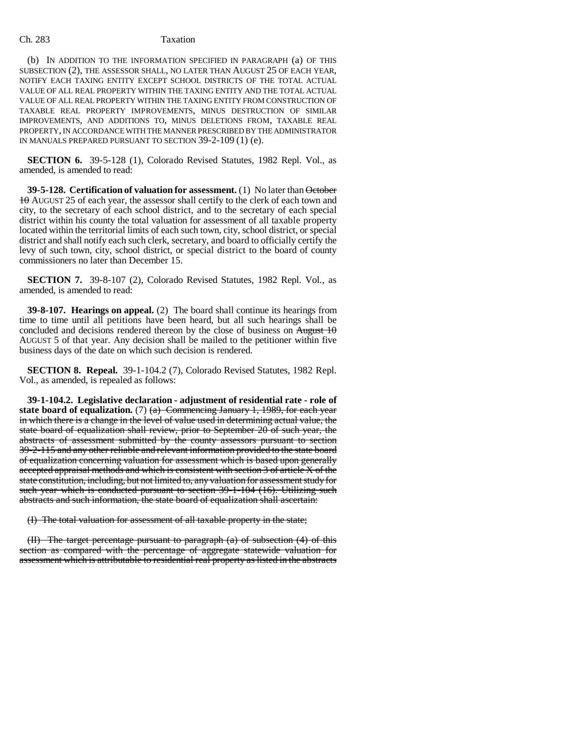### Ch. 283 Taxation

(b) IN ADDITION TO THE INFORMATION SPECIFIED IN PARAGRAPH (a) OF THIS SUBSECTION (2), THE ASSESSOR SHALL, NO LATER THAN AUGUST 25 OF EACH YEAR, NOTIFY EACH TAXING ENTITY EXCEPT SCHOOL DISTRICTS OF THE TOTAL ACTUAL VALUE OF ALL REAL PROPERTY WITHIN THE TAXING ENTITY AND THE TOTAL ACTUAL VALUE OF ALL REAL PROPERTY WITHIN THE TAXING ENTITY FROM CONSTRUCTION OF TAXABLE REAL PROPERTY IMPROVEMENTS, MINUS DESTRUCTION OF SIMILAR IMPROVEMENTS, AND ADDITIONS TO, MINUS DELETIONS FROM, TAXABLE REAL PROPERTY, IN ACCORDANCE WITH THE MANNER PRESCRIBED BY THE ADMINISTRATOR IN MANUALS PREPARED PURSUANT TO SECTION 39-2-109 (1) (e).

**SECTION 6.** 39-5-128 (1), Colorado Revised Statutes, 1982 Repl. Vol., as amended, is amended to read:

**39-5-128. Certification of valuation for assessment.** (1) No later than **October** 10 AUGUST 25 of each year, the assessor shall certify to the clerk of each town and city, to the secretary of each school district, and to the secretary of each special district within his county the total valuation for assessment of all taxable property located within the territorial limits of each such town, city, school district, or special district and shall notify each such clerk, secretary, and board to officially certify the levy of such town, city, school district, or special district to the board of county commissioners no later than December 15.

**SECTION 7.** 39-8-107 (2), Colorado Revised Statutes, 1982 Repl. Vol., as amended, is amended to read:

**39-8-107. Hearings on appeal.** (2) The board shall continue its hearings from time to time until all petitions have been heard, but all such hearings shall be concluded and decisions rendered thereon by the close of business on  $\overline{August\ 10}$ AUGUST 5 of that year. Any decision shall be mailed to the petitioner within five business days of the date on which such decision is rendered.

**SECTION 8. Repeal.** 39-1-104.2 (7), Colorado Revised Statutes, 1982 Repl. Vol., as amended, is repealed as follows:

**39-1-104.2. Legislative declaration - adjustment of residential rate - role of state board of equalization.** (7)  $\left(\frac{a}{b}\right)$  Commencing January 1, 1989, for each year in which there is a change in the level of value used in determining actual value, the state board of equalization shall review, prior to September 20 of such year, the abstracts of assessment submitted by the county assessors pursuant to section 39-2-115 and any other reliable and relevant information provided to the state board of equalization concerning valuation for assessment which is based upon generally accepted appraisal methods and which is consistent with section 3 of article X of the state constitution, including, but not limited to, any valuation for assessment study for such year which is conducted pursuant to section 39-1-104 (16). Utilizing such abstracts and such information, the state board of equalization shall ascertain:

(I) The total valuation for assessment of all taxable property in the state;

(II) The target percentage pursuant to paragraph (a) of subsection (4) of this section as compared with the percentage of aggregate statewide valuation for assessment which is attributable to residential real property as listed in the abstracts